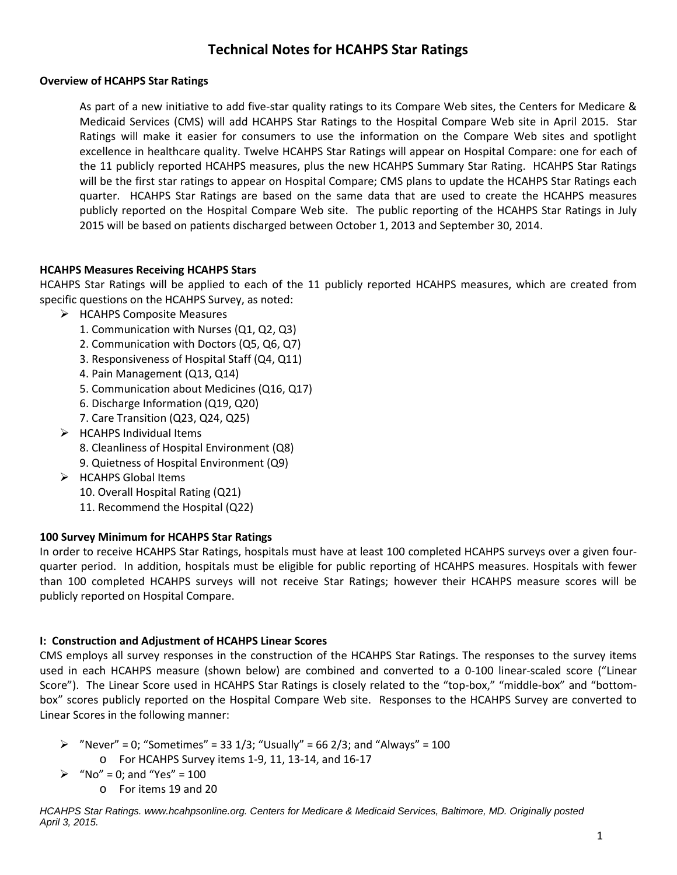# **Technical Notes for HCAHPS Star Ratings**

### **Overview of HCAHPS Star Ratings**

As part of a new initiative to add five-star quality ratings to its Compare Web sites, the Centers for Medicare & Medicaid Services (CMS) will add HCAHPS Star Ratings to the Hospital Compare Web site in April 2015. Star Ratings will make it easier for consumers to use the information on the Compare Web sites and spotlight excellence in healthcare quality. Twelve HCAHPS Star Ratings will appear on Hospital Compare: one for each of the 11 publicly reported HCAHPS measures, plus the new HCAHPS Summary Star Rating. HCAHPS Star Ratings will be the first star ratings to appear on Hospital Compare; CMS plans to update the HCAHPS Star Ratings each quarter. HCAHPS Star Ratings are based on the same data that are used to create the HCAHPS measures publicly reported on the Hospital Compare Web site. The public reporting of the HCAHPS Star Ratings in July 2015 will be based on patients discharged between October 1, 2013 and September 30, 2014.

### **HCAHPS Measures Receiving HCAHPS Stars**

HCAHPS Star Ratings will be applied to each of the 11 publicly reported HCAHPS measures, which are created from specific questions on the HCAHPS Survey, as noted:

- $\triangleright$  HCAHPS Composite Measures
	- 1. Communication with Nurses (Q1, Q2, Q3)
	- 2. Communication with Doctors (Q5, Q6, Q7)
	- 3. Responsiveness of Hospital Staff (Q4, Q11)
	- 4. Pain Management (Q13, Q14)
	- 5. Communication about Medicines (Q16, Q17)
	- 6. Discharge Information (Q19, Q20)
	- 7. Care Transition (Q23, Q24, Q25)
- $\triangleright$  HCAHPS Individual Items
	- 8. Cleanliness of Hospital Environment (Q8)
	- 9. Quietness of Hospital Environment (Q9)
- $\triangleright$  HCAHPS Global Items
	- 10. Overall Hospital Rating (Q21)
	- 11. Recommend the Hospital (Q22)

# **100 Survey Minimum for HCAHPS Star Ratings**

In order to receive HCAHPS Star Ratings, hospitals must have at least 100 completed HCAHPS surveys over a given fourquarter period. In addition, hospitals must be eligible for public reporting of HCAHPS measures. Hospitals with fewer than 100 completed HCAHPS surveys will not receive Star Ratings; however their HCAHPS measure scores will be publicly reported on Hospital Compare.

# **I: Construction and Adjustment of HCAHPS Linear Scores**

CMS employs all survey responses in the construction of the HCAHPS Star Ratings. The responses to the survey items used in each HCAHPS measure (shown below) are combined and converted to a 0-100 linear-scaled score ("Linear Score"). The Linear Score used in HCAHPS Star Ratings is closely related to the "top-box," "middle-box" and "bottombox" scores publicly reported on the Hospital Compare Web site. Responses to the HCAHPS Survey are converted to Linear Scores in the following manner:

- $\triangleright$  "Never" = 0; "Sometimes" = 33 1/3; "Usually" = 66 2/3; and "Always" = 100
	- o For HCAHPS Survey items 1-9, 11, 13-14, and 16-17
- $\triangleright$  "No" = 0; and "Yes" = 100
	- o For items 19 and 20

*HCAHPS Star Ratings. www.hcahpsonline.org. Centers for Medicare & Medicaid Services, Baltimore, MD. Originally posted April 3, 2015.*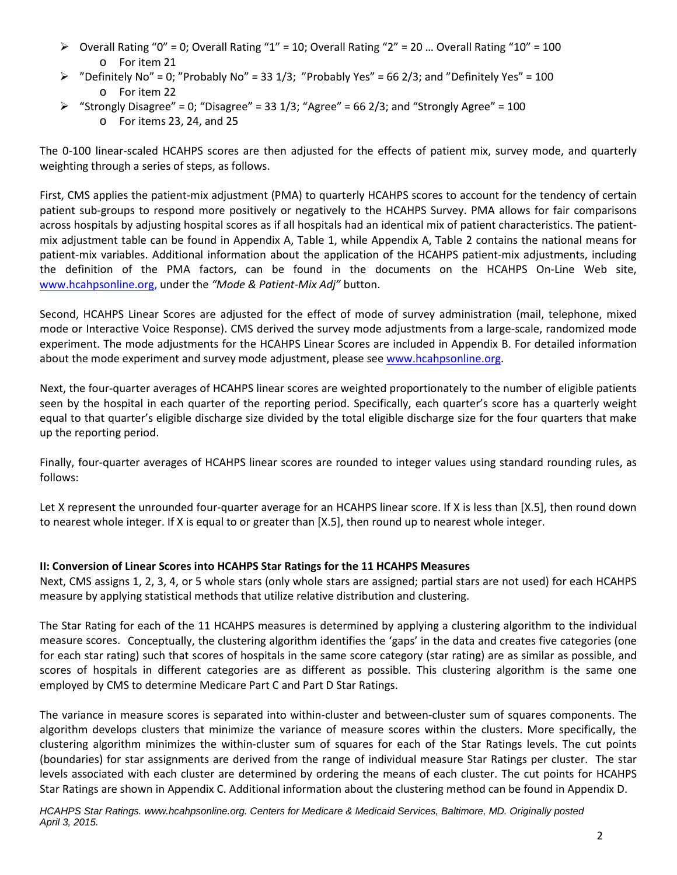- $\triangleright$  Overall Rating "0" = 0; Overall Rating "1" = 10; Overall Rating "2" = 20 ... Overall Rating "10" = 100 o For item 21
- $\triangleright$  "Definitely No" = 0; "Probably No" = 33 1/3; "Probably Yes" = 66 2/3; and "Definitely Yes" = 100 o For item 22
- $\triangleright$  "Strongly Disagree" = 0; "Disagree" = 33 1/3; "Agree" = 66 2/3; and "Strongly Agree" = 100 o For items 23, 24, and 25

The 0-100 linear-scaled HCAHPS scores are then adjusted for the effects of patient mix, survey mode, and quarterly weighting through a series of steps, as follows.

First, CMS applies the patient-mix adjustment (PMA) to quarterly HCAHPS scores to account for the tendency of certain patient sub-groups to respond more positively or negatively to the HCAHPS Survey. PMA allows for fair comparisons across hospitals by adjusting hospital scores as if all hospitals had an identical mix of patient characteristics. The patientmix adjustment table can be found in Appendix A, Table 1, while Appendix A, Table 2 contains the national means for patient-mix variables. Additional information about the application of the HCAHPS patient-mix adjustments, including the definition of the PMA factors, can be found in the documents on the HCAHPS On-Line Web site, [www.hcahpsonline.org,](http://www.hcahpsonline.org/) under the *"Mode & Patient-Mix Adj"* button.

Second, HCAHPS Linear Scores are adjusted for the effect of mode of survey administration (mail, telephone, mixed mode or Interactive Voice Response). CMS derived the survey mode adjustments from a large-scale, randomized mode experiment. The mode adjustments for the HCAHPS Linear Scores are included in Appendix B. For detailed information about the mode experiment and survey mode adjustment, please see [www.hcahpsonline.org.](http://www.hcahpsonline.org/)

Next, the four-quarter averages of HCAHPS linear scores are weighted proportionately to the number of eligible patients seen by the hospital in each quarter of the reporting period. Specifically, each quarter's score has a quarterly weight equal to that quarter's eligible discharge size divided by the total eligible discharge size for the four quarters that make up the reporting period.

Finally, four-quarter averages of HCAHPS linear scores are rounded to integer values using standard rounding rules, as follows:

Let X represent the unrounded four-quarter average for an HCAHPS linear score. If X is less than [X.5], then round down to nearest whole integer. If X is equal to or greater than [X.5], then round up to nearest whole integer.

# **II: Conversion of Linear Scores into HCAHPS Star Ratings for the 11 HCAHPS Measures**

Next, CMS assigns 1, 2, 3, 4, or 5 whole stars (only whole stars are assigned; partial stars are not used) for each HCAHPS measure by applying statistical methods that utilize relative distribution and clustering.

The Star Rating for each of the 11 HCAHPS measures is determined by applying a clustering algorithm to the individual measure scores. Conceptually, the clustering algorithm identifies the 'gaps' in the data and creates five categories (one for each star rating) such that scores of hospitals in the same score category (star rating) are as similar as possible, and scores of hospitals in different categories are as different as possible. This clustering algorithm is the same one employed by CMS to determine Medicare Part C and Part D Star Ratings.

The variance in measure scores is separated into within-cluster and between-cluster sum of squares components. The algorithm develops clusters that minimize the variance of measure scores within the clusters. More specifically, the clustering algorithm minimizes the within-cluster sum of squares for each of the Star Ratings levels. The cut points (boundaries) for star assignments are derived from the range of individual measure Star Ratings per cluster. The star levels associated with each cluster are determined by ordering the means of each cluster. The cut points for HCAHPS Star Ratings are shown in Appendix C. Additional information about the clustering method can be found in Appendix D.

*HCAHPS Star Ratings. www.hcahpsonline.org. Centers for Medicare & Medicaid Services, Baltimore, MD. Originally posted April 3, 2015.*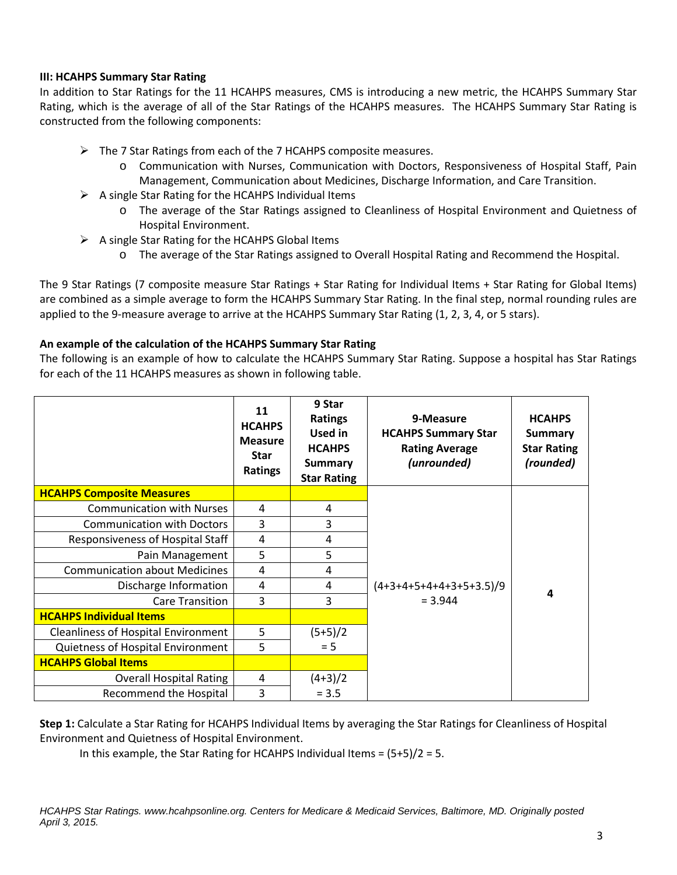### **III: HCAHPS Summary Star Rating**

In addition to Star Ratings for the 11 HCAHPS measures, CMS is introducing a new metric, the HCAHPS Summary Star Rating, which is the average of all of the Star Ratings of the HCAHPS measures. The HCAHPS Summary Star Rating is constructed from the following components:

- $\triangleright$  The 7 Star Ratings from each of the 7 HCAHPS composite measures.
	- o Communication with Nurses, Communication with Doctors, Responsiveness of Hospital Staff, Pain Management, Communication about Medicines, Discharge Information, and Care Transition.
- $\triangleright$  A single Star Rating for the HCAHPS Individual Items
	- o The average of the Star Ratings assigned to Cleanliness of Hospital Environment and Quietness of Hospital Environment.
- $\triangleright$  A single Star Rating for the HCAHPS Global Items
	- o The average of the Star Ratings assigned to Overall Hospital Rating and Recommend the Hospital.

The 9 Star Ratings (7 composite measure Star Ratings + Star Rating for Individual Items + Star Rating for Global Items) are combined as a simple average to form the HCAHPS Summary Star Rating. In the final step, normal rounding rules are applied to the 9-measure average to arrive at the HCAHPS Summary Star Rating (1, 2, 3, 4, or 5 stars).

### **An example of the calculation of the HCAHPS Summary Star Rating**

The following is an example of how to calculate the HCAHPS Summary Star Rating. Suppose a hospital has Star Ratings for each of the 11 HCAHPS measures as shown in following table.

|                                            | 11<br><b>HCAHPS</b><br><b>Measure</b><br><b>Star</b><br><b>Ratings</b> | 9 Star<br><b>Ratings</b><br>Used in<br><b>HCAHPS</b><br><b>Summary</b><br><b>Star Rating</b> | 9-Measure<br><b>HCAHPS Summary Star</b><br><b>Rating Average</b><br>(unrounded) | <b>HCAHPS</b><br><b>Summary</b><br><b>Star Rating</b><br>(rounded) |
|--------------------------------------------|------------------------------------------------------------------------|----------------------------------------------------------------------------------------------|---------------------------------------------------------------------------------|--------------------------------------------------------------------|
| <b>HCAHPS Composite Measures</b>           |                                                                        |                                                                                              |                                                                                 |                                                                    |
| <b>Communication with Nurses</b>           | 4                                                                      | 4                                                                                            |                                                                                 |                                                                    |
| <b>Communication with Doctors</b>          | 3                                                                      | 3                                                                                            |                                                                                 |                                                                    |
| Responsiveness of Hospital Staff           | 4                                                                      | 4                                                                                            |                                                                                 |                                                                    |
| Pain Management                            | 5                                                                      | 5                                                                                            |                                                                                 |                                                                    |
| <b>Communication about Medicines</b>       | 4                                                                      | 4                                                                                            |                                                                                 |                                                                    |
| Discharge Information                      | 4                                                                      | 4                                                                                            | $(4+3+4+5+4+4+3+5+3.5)/9$                                                       | 4                                                                  |
| <b>Care Transition</b>                     | 3                                                                      | 3                                                                                            | $= 3.944$                                                                       |                                                                    |
| <b>HCAHPS Individual Items</b>             |                                                                        |                                                                                              |                                                                                 |                                                                    |
| <b>Cleanliness of Hospital Environment</b> | 5                                                                      | $(5+5)/2$                                                                                    |                                                                                 |                                                                    |
| Quietness of Hospital Environment          | 5                                                                      | $= 5$                                                                                        |                                                                                 |                                                                    |
| <b>HCAHPS Global Items</b>                 |                                                                        |                                                                                              |                                                                                 |                                                                    |
| <b>Overall Hospital Rating</b>             | $\overline{4}$                                                         | $(4+3)/2$                                                                                    |                                                                                 |                                                                    |
| <b>Recommend the Hospital</b>              | 3                                                                      | $= 3.5$                                                                                      |                                                                                 |                                                                    |

**Step 1:** Calculate a Star Rating for HCAHPS Individual Items by averaging the Star Ratings for Cleanliness of Hospital Environment and Quietness of Hospital Environment.

In this example, the Star Rating for HCAHPS Individual Items = (5+5)/2 = 5.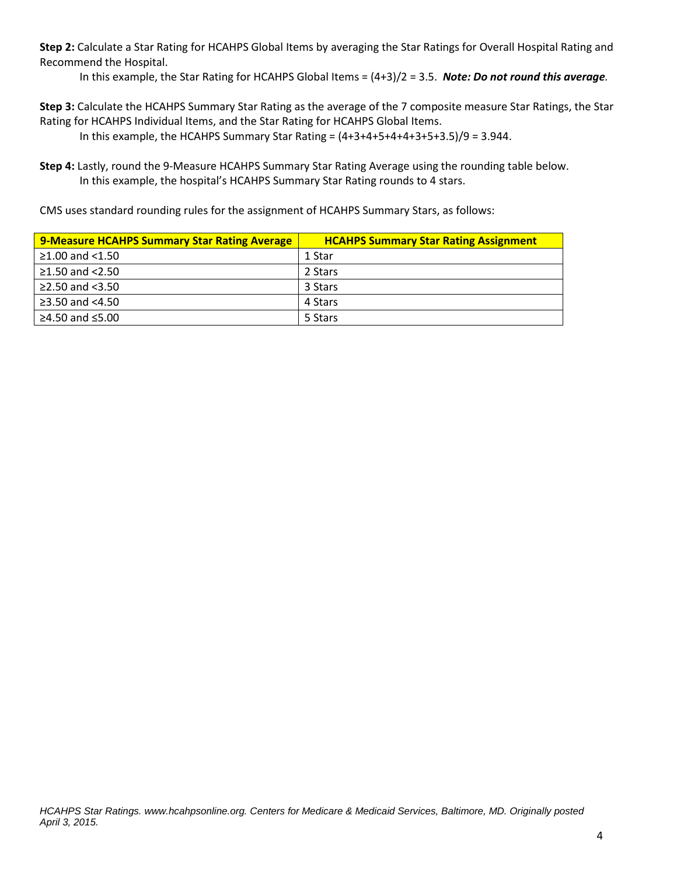**Step 2:** Calculate a Star Rating for HCAHPS Global Items by averaging the Star Ratings for Overall Hospital Rating and Recommend the Hospital.

In this example, the Star Rating for HCAHPS Global Items = (4+3)/2 = 3.5. *Note: Do not round this average.*

**Step 3:** Calculate the HCAHPS Summary Star Rating as the average of the 7 composite measure Star Ratings, the Star Rating for HCAHPS Individual Items, and the Star Rating for HCAHPS Global Items.

In this example, the HCAHPS Summary Star Rating =  $(4+3+4+5+4+4+3+5+3.5)/9 = 3.944$ .

**Step 4:** Lastly, round the 9-Measure HCAHPS Summary Star Rating Average using the rounding table below. In this example, the hospital's HCAHPS Summary Star Rating rounds to 4 stars.

CMS uses standard rounding rules for the assignment of HCAHPS Summary Stars, as follows:

| <b>9-Measure HCAHPS Summary Star Rating Average</b> | <b>HCAHPS Summary Star Rating Assignment</b> |
|-----------------------------------------------------|----------------------------------------------|
| $\geq$ 1.00 and <1.50                               | 1 Star                                       |
| ≥1.50 and $<$ 2.50                                  | 2 Stars                                      |
| ≥2.50 and $<3.50$                                   | 3 Stars                                      |
| ≥3.50 and $<4.50$                                   | 4 Stars                                      |
| ≥4.50 and $≤5.00$                                   | 5 Stars                                      |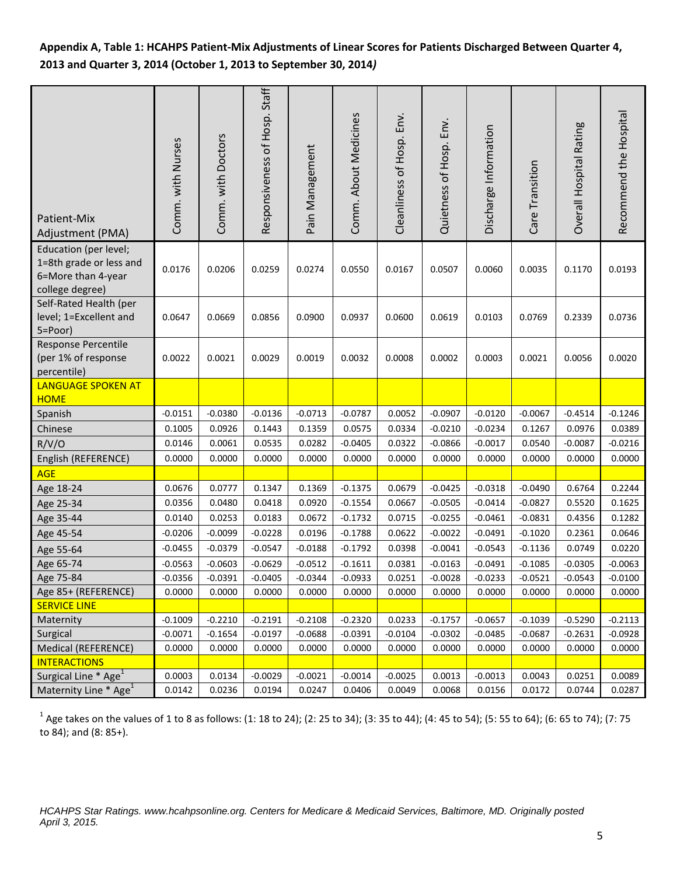# **Appendix A, Table 1: HCAHPS Patient-Mix Adjustments of Linear Scores for Patients Discharged Between Quarter 4, 2013 and Quarter 3, 2014 (October 1, 2013 to September 30, 2014***)*

| Patient-Mix<br>Adjustment (PMA)                                                           | Comm. with Nurses | Comm. with Doctors | Responsiveness of Hosp. Staff | Pain Management | Comm. About Medicines | Cleanliness of Hosp. Env. | Quietness of Hosp. Env. | Discharge Information | Care Transition | Overall Hospital Rating | Recommend the Hospital |
|-------------------------------------------------------------------------------------------|-------------------|--------------------|-------------------------------|-----------------|-----------------------|---------------------------|-------------------------|-----------------------|-----------------|-------------------------|------------------------|
| Education (per level;<br>1=8th grade or less and<br>6=More than 4-year<br>college degree) | 0.0176            | 0.0206             | 0.0259                        | 0.0274          | 0.0550                | 0.0167                    | 0.0507                  | 0.0060                | 0.0035          | 0.1170                  | 0.0193                 |
| Self-Rated Health (per<br>level; 1=Excellent and<br>5=Poor)                               | 0.0647            | 0.0669             | 0.0856                        | 0.0900          | 0.0937                | 0.0600                    | 0.0619                  | 0.0103                | 0.0769          | 0.2339                  | 0.0736                 |
| Response Percentile<br>(per 1% of response<br>percentile)                                 | 0.0022            | 0.0021             | 0.0029                        | 0.0019          | 0.0032                | 0.0008                    | 0.0002                  | 0.0003                | 0.0021          | 0.0056                  | 0.0020                 |
| <b>LANGUAGE SPOKEN AT</b><br><b>HOME</b>                                                  |                   |                    |                               |                 |                       |                           |                         |                       |                 |                         |                        |
| Spanish                                                                                   | $-0.0151$         | $-0.0380$          | $-0.0136$                     | $-0.0713$       | $-0.0787$             | 0.0052                    | $-0.0907$               | $-0.0120$             | $-0.0067$       | $-0.4514$               | $-0.1246$              |
| Chinese                                                                                   | 0.1005            | 0.0926             | 0.1443                        | 0.1359          | 0.0575                | 0.0334                    | $-0.0210$               | $-0.0234$             | 0.1267          | 0.0976                  | 0.0389                 |
| R/V/O                                                                                     | 0.0146            | 0.0061             | 0.0535                        | 0.0282          | $-0.0405$             | 0.0322                    | $-0.0866$               | $-0.0017$             | 0.0540          | $-0.0087$               | $-0.0216$              |
| English (REFERENCE)                                                                       | 0.0000            | 0.0000             | 0.0000                        | 0.0000          | 0.0000                | 0.0000                    | 0.0000                  | 0.0000                | 0.0000          | 0.0000                  | 0.0000                 |
| <b>AGE</b>                                                                                |                   |                    |                               |                 |                       |                           |                         |                       |                 |                         |                        |
| Age 18-24                                                                                 | 0.0676            | 0.0777             | 0.1347                        | 0.1369          | $-0.1375$             | 0.0679                    | $-0.0425$               | $-0.0318$             | $-0.0490$       | 0.6764                  | 0.2244                 |
| Age 25-34                                                                                 | 0.0356            | 0.0480             | 0.0418                        | 0.0920          | $-0.1554$             | 0.0667                    | $-0.0505$               | $-0.0414$             | $-0.0827$       | 0.5520                  | 0.1625                 |
| Age 35-44                                                                                 | 0.0140            | 0.0253             | 0.0183                        | 0.0672          | $-0.1732$             | 0.0715                    | $-0.0255$               | $-0.0461$             | $-0.0831$       | 0.4356                  | 0.1282                 |
| Age 45-54                                                                                 | $-0.0206$         | $-0.0099$          | $-0.0228$                     | 0.0196          | $-0.1788$             | 0.0622                    | $-0.0022$               | $-0.0491$             | $-0.1020$       | 0.2361                  | 0.0646                 |
| Age 55-64                                                                                 | $-0.0455$         | $-0.0379$          | $-0.0547$                     | $-0.0188$       | $-0.1792$             | 0.0398                    | $-0.0041$               | $-0.0543$             | $-0.1136$       | 0.0749                  | 0.0220                 |
| Age 65-74                                                                                 | $-0.0563$         | $-0.0603$          | $-0.0629$                     | $-0.0512$       | $-0.1611$             | 0.0381                    | $-0.0163$               | $-0.0491$             | $-0.1085$       | $-0.0305$               | $-0.0063$              |
| Age 75-84                                                                                 | $-0.0356$         | $-0.0391$          | $-0.0405$                     | $-0.0344$       | $-0.0933$             | 0.0251                    | $-0.0028$               | $-0.0233$             | $-0.0521$       | $-0.0543$               | $-0.0100$              |
| Age 85+ (REFERENCE)                                                                       | 0.0000            | 0.0000             | 0.0000                        | 0.0000          | 0.0000                | 0.0000                    | 0.0000                  | 0.0000                | 0.0000          | 0.0000                  | 0.0000                 |
| <b>SERVICE LINE</b>                                                                       |                   |                    |                               |                 |                       |                           |                         |                       |                 |                         |                        |
| Maternity                                                                                 | $-0.1009$         | $-0.2210$          | $-0.2191$                     | $-0.2108$       | $-0.2320$             | 0.0233                    | $-0.1757$               | $-0.0657$             | $-0.1039$       | $-0.5290$               | $-0.2113$              |
| Surgical                                                                                  | $-0.0071$         | $-0.1654$          | $-0.0197$                     | $-0.0688$       | $-0.0391$             | $-0.0104$                 | $-0.0302$               | $-0.0485$             | $-0.0687$       | $-0.2631$               | $-0.0928$              |
| Medical (REFERENCE)                                                                       | 0.0000            | 0.0000             | 0.0000                        | 0.0000          | 0.0000                | 0.0000                    | 0.0000                  | 0.0000                | 0.0000          | 0.0000                  | 0.0000                 |
| <b>INTERACTIONS</b>                                                                       |                   |                    |                               |                 |                       |                           |                         |                       |                 |                         |                        |
| Surgical Line * Age <sup>1</sup>                                                          | 0.0003            | 0.0134             | $-0.0029$                     | $-0.0021$       | $-0.0014$             | $-0.0025$                 | 0.0013                  | $-0.0013$             | 0.0043          | 0.0251                  | 0.0089                 |
| Maternity Line * Age <sup>1</sup>                                                         | 0.0142            | 0.0236             | 0.0194                        | 0.0247          | 0.0406                | 0.0049                    | 0.0068                  | 0.0156                | 0.0172          | 0.0744                  | 0.0287                 |

 $1$  Age takes on the values of 1 to 8 as follows: (1: 18 to 24); (2: 25 to 34); (3: 35 to 44); (4: 45 to 54); (5: 55 to 64); (6: 65 to 74); (7: 75 to 84); and (8: 85+).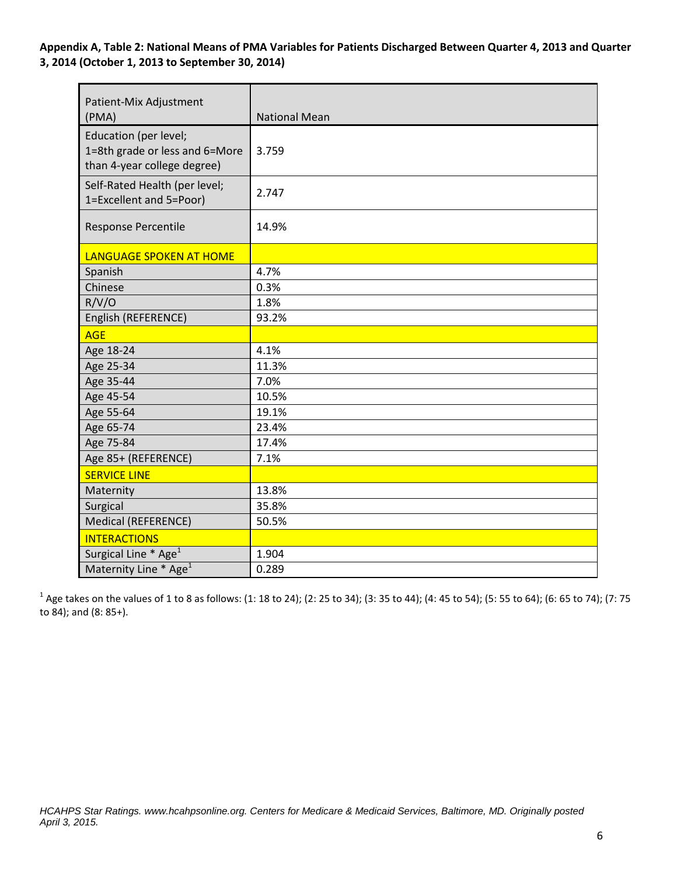**Appendix A, Table 2: National Means of PMA Variables for Patients Discharged Between Quarter 4, 2013 and Quarter 3, 2014 (October 1, 2013 to September 30, 2014)**

| Patient-Mix Adjustment<br>(PMA)                                                        | <b>National Mean</b> |
|----------------------------------------------------------------------------------------|----------------------|
| Education (per level;<br>1=8th grade or less and 6=More<br>than 4-year college degree) | 3.759                |
| Self-Rated Health (per level;<br>1=Excellent and 5=Poor)                               | 2.747                |
| Response Percentile                                                                    | 14.9%                |
| <b>LANGUAGE SPOKEN AT HOME</b>                                                         |                      |
| Spanish                                                                                | 4.7%                 |
| Chinese                                                                                | 0.3%                 |
| R/V/O                                                                                  | 1.8%                 |
| English (REFERENCE)                                                                    | 93.2%                |
| <b>AGE</b>                                                                             |                      |
| Age 18-24                                                                              | 4.1%                 |
| Age 25-34                                                                              | 11.3%                |
| Age 35-44                                                                              | 7.0%                 |
| Age 45-54                                                                              | 10.5%                |
| Age 55-64                                                                              | 19.1%                |
| Age 65-74                                                                              | 23.4%                |
| Age 75-84                                                                              | 17.4%                |
| Age 85+ (REFERENCE)                                                                    | 7.1%                 |
| <b>SERVICE LINE</b>                                                                    |                      |
| Maternity                                                                              | 13.8%                |
| Surgical                                                                               | 35.8%                |
| Medical (REFERENCE)                                                                    | 50.5%                |
| <b>INTERACTIONS</b>                                                                    |                      |
| Surgical Line * Age <sup>1</sup>                                                       | 1.904                |
| Maternity Line * Age <sup>1</sup>                                                      | 0.289                |

 $1$  Age takes on the values of 1 to 8 as follows: (1: 18 to 24); (2: 25 to 34); (3: 35 to 44); (4: 45 to 54); (5: 55 to 64); (6: 65 to 74); (7: 75 to 84); and (8: 85+).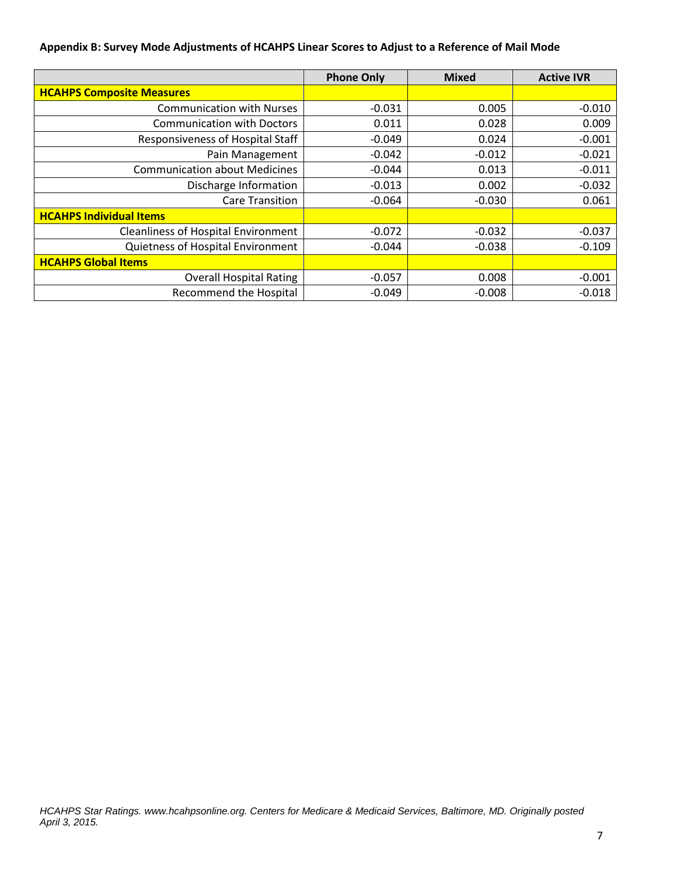### **Appendix B: Survey Mode Adjustments of HCAHPS Linear Scores to Adjust to a Reference of Mail Mode**

|                                            | <b>Phone Only</b> | <b>Mixed</b> | <b>Active IVR</b> |
|--------------------------------------------|-------------------|--------------|-------------------|
| <b>HCAHPS Composite Measures</b>           |                   |              |                   |
| <b>Communication with Nurses</b>           | $-0.031$          | 0.005        | $-0.010$          |
| <b>Communication with Doctors</b>          | 0.011             | 0.028        | 0.009             |
| <b>Responsiveness of Hospital Staff</b>    | $-0.049$          | 0.024        | $-0.001$          |
| Pain Management                            | $-0.042$          | $-0.012$     | $-0.021$          |
| <b>Communication about Medicines</b>       | $-0.044$          | 0.013        | $-0.011$          |
| Discharge Information                      | $-0.013$          | 0.002        | $-0.032$          |
| <b>Care Transition</b>                     | $-0.064$          | $-0.030$     | 0.061             |
| <b>HCAHPS Individual Items</b>             |                   |              |                   |
| <b>Cleanliness of Hospital Environment</b> | $-0.072$          | $-0.032$     | $-0.037$          |
| Quietness of Hospital Environment          | $-0.044$          | $-0.038$     | $-0.109$          |
| <b>HCAHPS Global Items</b>                 |                   |              |                   |
| <b>Overall Hospital Rating</b>             | $-0.057$          | 0.008        | $-0.001$          |
| Recommend the Hospital                     | $-0.049$          | $-0.008$     | $-0.018$          |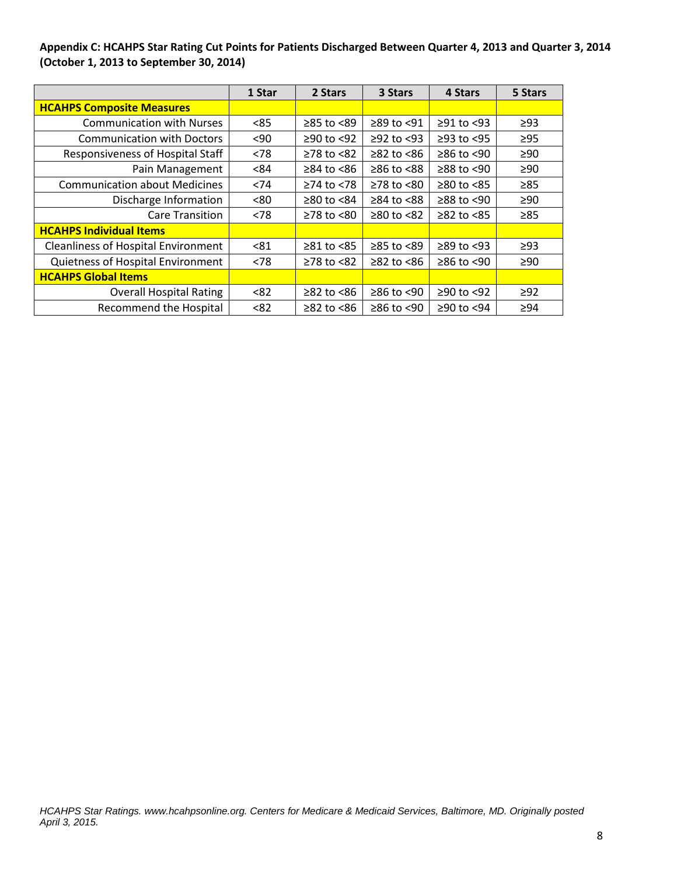## **Appendix C: HCAHPS Star Rating Cut Points for Patients Discharged Between Quarter 4, 2013 and Quarter 3, 2014 (October 1, 2013 to September 30, 2014)**

|                                            | 1 Star | 2 Stars          | 3 Stars          | 4 Stars          | 5 Stars   |
|--------------------------------------------|--------|------------------|------------------|------------------|-----------|
| <b>HCAHPS Composite Measures</b>           |        |                  |                  |                  |           |
| <b>Communication with Nurses</b>           | < 85   | ≥85 to <89       | ≥89 to <91       | $≥91$ to <93     | $\geq$ 93 |
| <b>Communication with Doctors</b>          | $90$   | $≥90$ to <92     | $≥92$ to $<93$   | $\geq$ 93 to <95 | $\geq$ 95 |
| Responsiveness of Hospital Staff           | < 78   | $≥78$ to $≤82$   | $\geq$ 82 to <86 | $≥86$ to <90     | $\geq 90$ |
| Pain Management                            | <84    | $\geq$ 84 to <86 | $≥86$ to $≤88$   | $≥88$ to <90     | $\geq 90$ |
| <b>Communication about Medicines</b>       | <74    | $≥74$ to $≤78$   | $\geq$ 78 to <80 | $\geq 80$ to <85 | $\geq 85$ |
| Discharge Information                      | <80    | ≥80 to $<84$     | $\geq$ 84 to <88 | $≥88$ to <90     | $\geq 90$ |
| <b>Care Transition</b>                     | < 78   | $≥78$ to $≤80$   | $≥80$ to <82     | $\geq$ 82 to <85 | $\geq 85$ |
| <b>HCAHPS Individual Items</b>             |        |                  |                  |                  |           |
| <b>Cleanliness of Hospital Environment</b> | < 81   | $≥81$ to <85     | ≥85 to <89       | $≥89$ to <93     | $\geq$ 93 |
| Quietness of Hospital Environment          | < 78   | $≥78$ to $≤82$   | $\geq$ 82 to <86 | $≥86$ to <90     | $\geq 90$ |
| <b>HCAHPS Global Items</b>                 |        |                  |                  |                  |           |
| <b>Overall Hospital Rating</b>             | < 82   | $≥82$ to $≤86$   | $≥86$ to <90     | $≥90$ to <92     | $\geq$ 92 |
| <b>Recommend the Hospital</b>              | < 82   | $\geq$ 82 to <86 | $≥86$ to <90     | ≥90 to <94       | $\geq 94$ |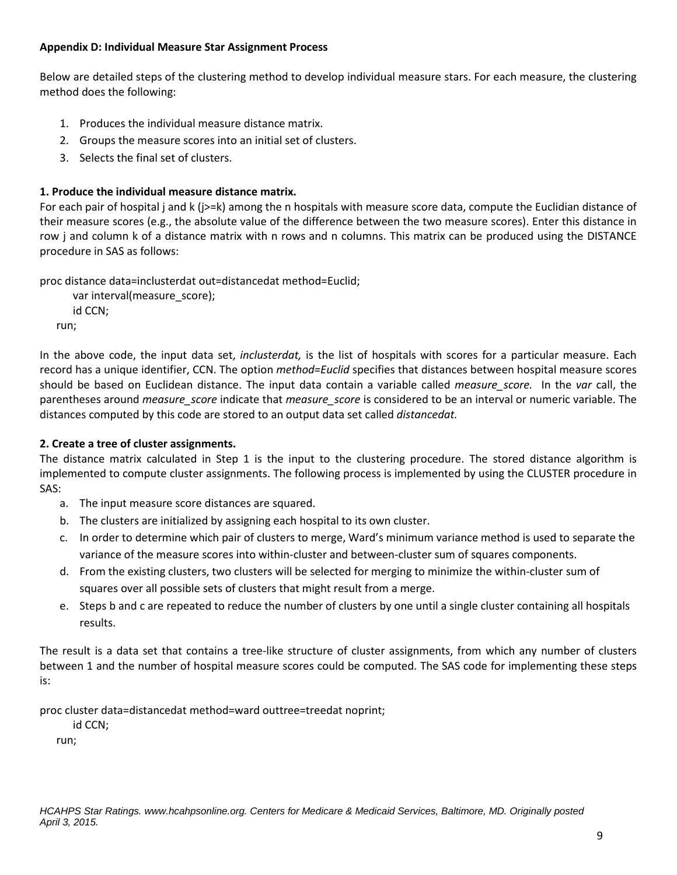### **Appendix D: Individual Measure Star Assignment Process**

Below are detailed steps of the clustering method to develop individual measure stars. For each measure, the clustering method does the following:

- 1. Produces the individual measure distance matrix.
- 2. Groups the measure scores into an initial set of clusters.
- 3. Selects the final set of clusters.

# **1. Produce the individual measure distance matrix.**

For each pair of hospital j and k (j>=k) among the n hospitals with measure score data, compute the Euclidian distance of their measure scores (e.g., the absolute value of the difference between the two measure scores). Enter this distance in row j and column k of a distance matrix with n rows and n columns. This matrix can be produced using the DISTANCE procedure in SAS as follows:

proc distance data=inclusterdat out=distancedat method=Euclid;

 var interval(measure\_score); id CCN; run;

In the above code, the input data set, *inclusterdat,* is the list of hospitals with scores for a particular measure. Each record has a unique identifier, CCN. The option *method=Euclid* specifies that distances between hospital measure scores should be based on Euclidean distance. The input data contain a variable called *measure\_score.* In the *var* call, the parentheses around *measure\_score* indicate that *measure\_score* is considered to be an interval or numeric variable. The distances computed by this code are stored to an output data set called *distancedat.*

# **2. Create a tree of cluster assignments.**

The distance matrix calculated in Step 1 is the input to the clustering procedure. The stored distance algorithm is implemented to compute cluster assignments. The following process is implemented by using the CLUSTER procedure in SAS:

- a. The input measure score distances are squared.
- b. The clusters are initialized by assigning each hospital to its own cluster.
- c. In order to determine which pair of clusters to merge, Ward's minimum variance method is used to separate the variance of the measure scores into within-cluster and between-cluster sum of squares components.
- d. From the existing clusters, two clusters will be selected for merging to minimize the within-cluster sum of squares over all possible sets of clusters that might result from a merge.
- e. Steps b and c are repeated to reduce the number of clusters by one until a single cluster containing all hospitals results.

The result is a data set that contains a tree-like structure of cluster assignments, from which any number of clusters between 1 and the number of hospital measure scores could be computed. The SAS code for implementing these steps is:

proc cluster data=distancedat method=ward outtree=treedat noprint;

id CCN;

run;